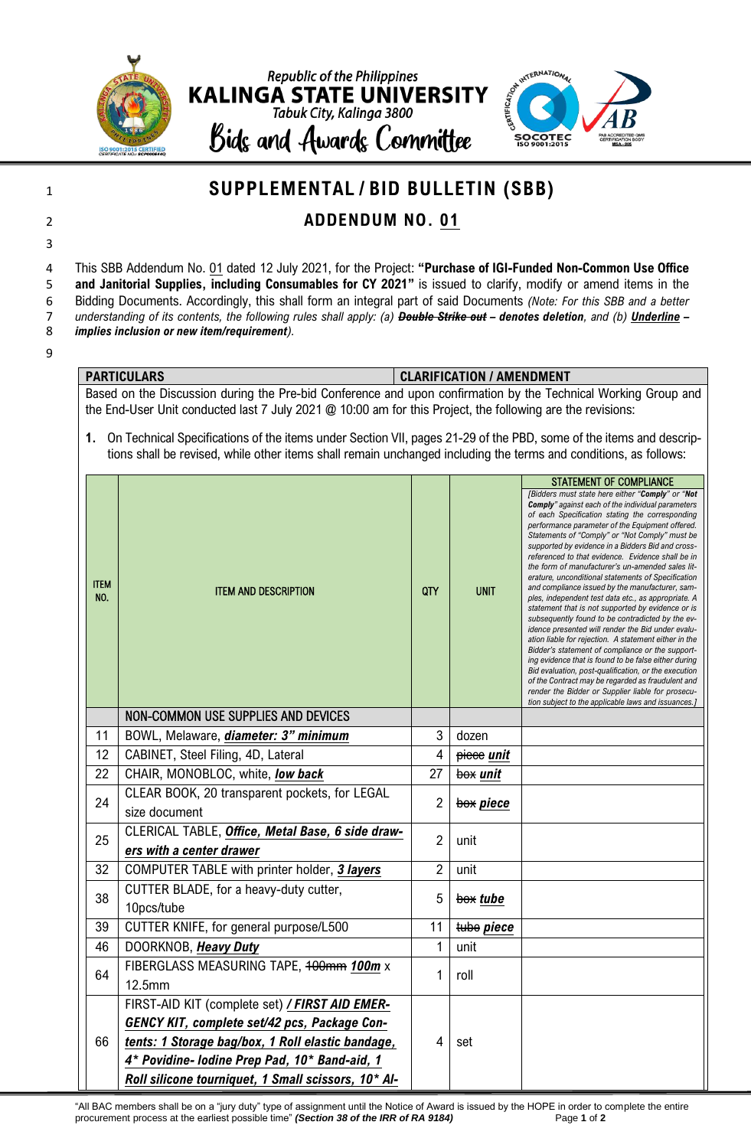

9